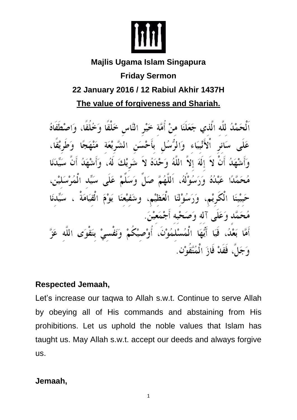

# **Majlis Ugama Islam Singapura Friday Sermon 22 January 2016 / 12 Rabiul Akhir 1437H The value of forgiveness and Shariah.**

ٱلْحَمْدُ للَّهِ الَّذي جَعَلَنَا مِنْ أُمَّةٍ خَيْرِ النَّاسِ خَلْقًا وَخُلُقًا، وَاصْطَفَاهُ عَلَى سَائرِ اْلأَنْبِيَاء وَالرُّسُلِ بأَحْسَنِ الشَّرِيْعَة مَنْهَجًا وَطَرِيْقًا، وَأَشْهَدُ أَنْ لاَ إِلَهَ إِلاَّ اللَّهُ وَحْدَهُ لاَ شَرِيْكَ لَهُ، وَأَشْهَدُ أَنَّ سَيِّدَنَا مُحَمَّدًا عَبْدُهُ وَرَسُوْلُهُ، اَللَّهُمَّ صَلٍّ وَسَلَّمْ عَلَى سَيِّد الْمُرْسَلَيْنِ، حَبِيْبَنَا الْكُرِيْمِ، وَرَسُوْلَنَا الْعَظَيْمِ، وشَفَيْعَنَا يَوْمَ الْقِيَامَةْ ، سَيِّدنَا مُحَمَّد وَعَلَى آله وَصَحْبه أَجْمَعيْنَ. أَمَّا بَعْدُ، فَيَا أَيُّهَا الْمُسْلمُوْنَ، أُوْصيْكُمْ وَنَفْسيْ بتَقْوَى اللَّه عَزَّ وَجَلٌ، فَقَدْ فَازَ الْمُتَّقُوْنَ.

## **Respected Jemaah,**

Let's increase our taqwa to Allah s.w.t. Continue to serve Allah by obeying all of His commands and abstaining from His prohibitions. Let us uphold the noble values that Islam has taught us. May Allah s.w.t. accept our deeds and always forgive us.

#### **Jemaah,**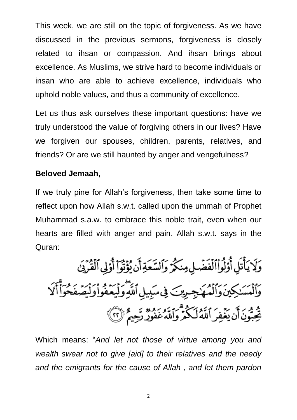This week, we are still on the topic of forgiveness. As we have discussed in the previous sermons, forgiveness is closely related to ihsan or compassion. And ihsan brings about excellence. As Muslims, we strive hard to become individuals or insan who are able to achieve excellence, individuals who uphold noble values, and thus a community of excellence.

Let us thus ask ourselves these important questions: have we truly understood the value of forgiving others in our lives? Have we forgiven our spouses, children, parents, relatives, and friends? Or are we still haunted by anger and vengefulness?

## **Beloved Jemaah,**

If we truly pine for Allah's forgiveness, then take some time to reflect upon how Allah s.w.t. called upon the ummah of Prophet Muhammad s.a.w. to embrace this noble trait, even when our hearts are filled with anger and pain. Allah s.w.t. says in the Quran:

وَلَا يَأْتَلِ أَوْلُواْ ٱلْفَضَّلِ مِنكُرٌ وَالسَّعَةِ أَن يُؤْتُواْ أُوْلِي ٱلْقُرْيَنِ رَانَمَسَـٰکِينَ وَٱلۡمُهَاجِمِينَ فِىسَبِيلِٱللَّهِ وَلَيَعۡفُوا۟وَلَيۡصَنۡكُوا۟ٓاَلَا يُحِبُّونَ أَن يَغْفِرَ اَللَّهُ لَكُمْ وَاللَّهُ عَفُوزٌ رَّحِيمٌ ۚ لَا ٱلْمَ

Which means: "*And let not those of virtue among you and wealth swear not to give [aid] to their relatives and the needy and the emigrants for the cause of Allah , and let them pardon*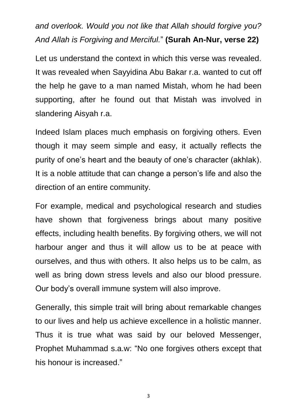*and overlook. Would you not like that Allah should forgive you? And Allah is Forgiving and Merciful.*" **(Surah An-Nur, verse 22)**

Let us understand the context in which this verse was revealed. It was revealed when Sayyidina Abu Bakar r.a. wanted to cut off the help he gave to a man named Mistah, whom he had been supporting, after he found out that Mistah was involved in slandering Aisyah r.a.

Indeed Islam places much emphasis on forgiving others. Even though it may seem simple and easy, it actually reflects the purity of one's heart and the beauty of one's character (akhlak). It is a noble attitude that can change a person's life and also the direction of an entire community.

For example, medical and psychological research and studies have shown that forgiveness brings about many positive effects, including health benefits. By forgiving others, we will not harbour anger and thus it will allow us to be at peace with ourselves, and thus with others. It also helps us to be calm, as well as bring down stress levels and also our blood pressure. Our body's overall immune system will also improve.

Generally, this simple trait will bring about remarkable changes to our lives and help us achieve excellence in a holistic manner. Thus it is true what was said by our beloved Messenger, Prophet Muhammad s.a.w: "No one forgives others except that his honour is increased."

3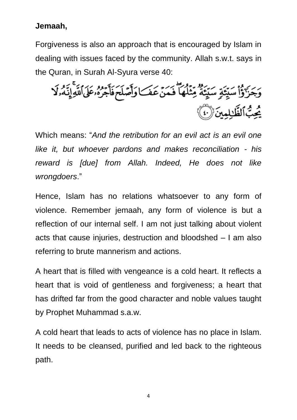## **Jemaah,**

Forgiveness is also an approach that is encouraged by Islam in dealing with issues faced by the community. Allah s.w.t. says in the Quran, in Surah Al-Syura verse 40:

وَجَزَرْوَۢٳ۠سَيِّئَةٍ سَيِّئَةً مِّثَلُهَاۖ فَمَنۡ عَفَ)وَأَصَّلَحَ فَأَجَرُهُۥعَلَى اللَّهِ إِنَّهُۥلَا و و.<br>چُپ الظَّللمينَ (`C)

Which means: "*And the retribution for an evil act is an evil one like it, but whoever pardons and makes reconciliation - his reward is [due] from Allah. Indeed, He does not like wrongdoers*."

Hence, Islam has no relations whatsoever to any form of violence. Remember jemaah, any form of violence is but a reflection of our internal self. I am not just talking about violent acts that cause injuries, destruction and bloodshed – I am also referring to brute mannerism and actions.

A heart that is filled with vengeance is a cold heart. It reflects a heart that is void of gentleness and forgiveness; a heart that has drifted far from the good character and noble values taught by Prophet Muhammad s.a.w.

A cold heart that leads to acts of violence has no place in Islam. It needs to be cleansed, purified and led back to the righteous path.

4